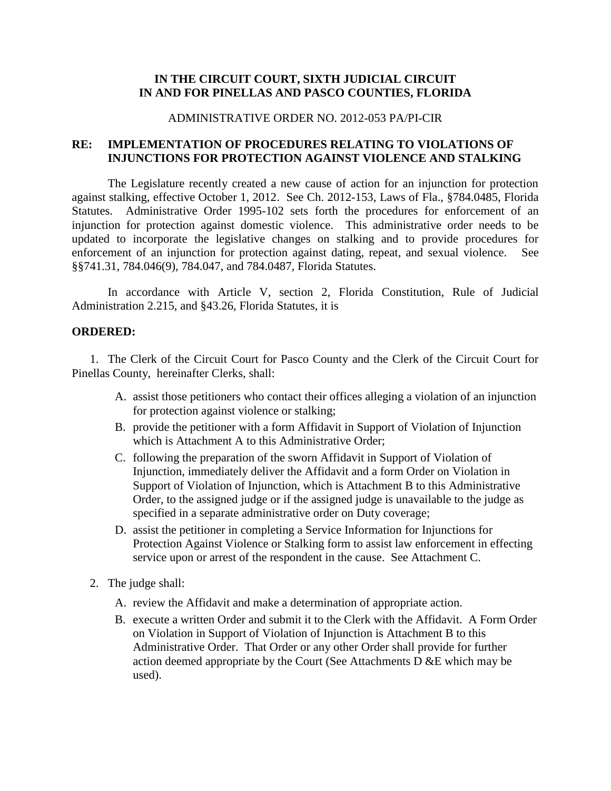# **IN THE CIRCUIT COURT, SIXTH JUDICIAL CIRCUIT IN AND FOR PINELLAS AND PASCO COUNTIES, FLORIDA**

### ADMINISTRATIVE ORDER NO. 2012-053 PA/PI-CIR

# **RE: IMPLEMENTATION OF PROCEDURES RELATING TO VIOLATIONS OF INJUNCTIONS FOR PROTECTION AGAINST VIOLENCE AND STALKING**

The Legislature recently created a new cause of action for an injunction for protection against stalking, effective October 1, 2012. See Ch. 2012-153, Laws of Fla., §784.0485, Florida Statutes. Administrative Order 1995-102 sets forth the procedures for enforcement of an injunction for protection against domestic violence. This administrative order needs to be updated to incorporate the legislative changes on stalking and to provide procedures for enforcement of an injunction for protection against dating, repeat, and sexual violence. See §§741.31, 784.046(9), 784.047, and 784.0487, Florida Statutes.

In accordance with Article V, section 2, Florida Constitution, Rule of Judicial Administration 2.215, and §43.26, Florida Statutes, it is

## **ORDERED:**

1. The Clerk of the Circuit Court for Pasco County and the Clerk of the Circuit Court for Pinellas County, hereinafter Clerks, shall:

- A. assist those petitioners who contact their offices alleging a violation of an injunction for protection against violence or stalking;
- B. provide the petitioner with a form Affidavit in Support of Violation of Injunction which is Attachment A to this Administrative Order;
- C. following the preparation of the sworn Affidavit in Support of Violation of Injunction, immediately deliver the Affidavit and a form Order on Violation in Support of Violation of Injunction, which is Attachment B to this Administrative Order, to the assigned judge or if the assigned judge is unavailable to the judge as specified in a separate administrative order on Duty coverage;
- D. assist the petitioner in completing a Service Information for Injunctions for Protection Against Violence or Stalking form to assist law enforcement in effecting service upon or arrest of the respondent in the cause. See Attachment C.
- 2. The judge shall:
	- A. review the Affidavit and make a determination of appropriate action.
	- B. execute a written Order and submit it to the Clerk with the Affidavit. A Form Order on Violation in Support of Violation of Injunction is Attachment B to this Administrative Order. That Order or any other Order shall provide for further action deemed appropriate by the Court (See Attachments D &E which may be used).